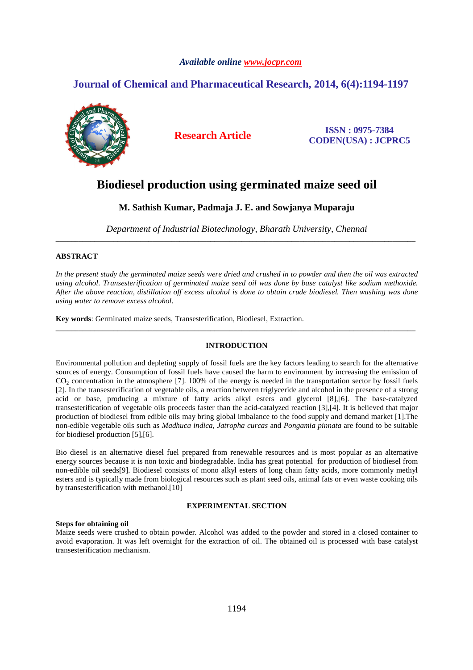# *Available online www.jocpr.com*

# **Journal of Chemical and Pharmaceutical Research, 2014, 6(4):1194-1197**



**Research Article ISSN : 0975-7384 CODEN(USA) : JCPRC5**

# **Biodiesel production using germinated maize seed oil**

**M. Sathish Kumar, Padmaja J. E. and Sowjanya Muparaju** 

*Department of Industrial Biotechnology, Bharath University, Chennai*  \_\_\_\_\_\_\_\_\_\_\_\_\_\_\_\_\_\_\_\_\_\_\_\_\_\_\_\_\_\_\_\_\_\_\_\_\_\_\_\_\_\_\_\_\_\_\_\_\_\_\_\_\_\_\_\_\_\_\_\_\_\_\_\_\_\_\_\_\_\_\_\_\_\_\_\_\_\_\_\_\_\_\_\_\_\_\_\_\_\_\_\_\_

# **ABSTRACT**

*In the present study the germinated maize seeds were dried and crushed in to powder and then the oil was extracted using alcohol. Transesterification of germinated maize seed oil was done by base catalyst like sodium methoxide. After the above reaction, distillation off excess alcohol is done to obtain crude biodiesel. Then washing was done using water to remove excess alcohol.* 

**Key words**: Germinated maize seeds, Transesterification, Biodiesel, Extraction.

# **INTRODUCTION**

\_\_\_\_\_\_\_\_\_\_\_\_\_\_\_\_\_\_\_\_\_\_\_\_\_\_\_\_\_\_\_\_\_\_\_\_\_\_\_\_\_\_\_\_\_\_\_\_\_\_\_\_\_\_\_\_\_\_\_\_\_\_\_\_\_\_\_\_\_\_\_\_\_\_\_\_\_\_\_\_\_\_\_\_\_\_\_\_\_\_\_\_\_

Environmental pollution and depleting supply of fossil fuels are the key factors leading to search for the alternative sources of energy. Consumption of fossil fuels have caused the harm to environment by increasing the emission of CO2 concentration in the atmosphere [7]. 100% of the energy is needed in the transportation sector by fossil fuels [2]. In the transesterification of vegetable oils, a reaction between triglyceride and alcohol in the presence of a strong acid or base, producing a mixture of fatty acids alkyl esters and glycerol [8],[6]. The base-catalyzed transesterification of vegetable oils proceeds faster than the acid-catalyzed reaction [3],[4]. It is believed that major production of biodiesel from edible oils may bring global imbalance to the food supply and demand market [1].The non-edible vegetable oils such as *Madhuca indica, Jatropha curcas* and *Pongamia pinnata* are found to be suitable for biodiesel production [5],[6].

Bio diesel is an alternative diesel fuel prepared from renewable resources and is most popular as an alternative energy sources because it is non toxic and biodegradable. India has great potential for production of biodiesel from non-edible oil seeds[9]. Biodiesel consists of mono alkyl esters of long chain fatty acids, more commonly methyl esters and is typically made from biological resources such as plant seed oils, animal fats or even waste cooking oils by transesterification with methanol.[10]

# **EXPERIMENTAL SECTION**

### **Steps for obtaining oil**

Maize seeds were crushed to obtain powder. Alcohol was added to the powder and stored in a closed container to avoid evaporation. It was left overnight for the extraction of oil. The obtained oil is processed with base catalyst transesterification mechanism.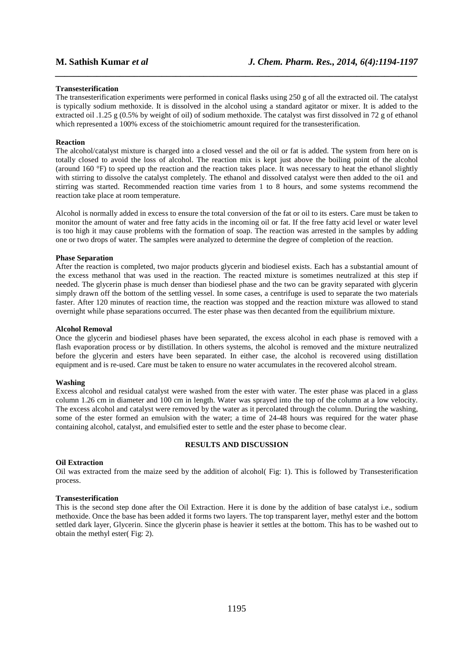#### **Transesterification**

The transesterification experiments were performed in conical flasks using 250 g of all the extracted oil. The catalyst is typically sodium methoxide. It is dissolved in the alcohol using a standard agitator or mixer. It is added to the extracted oil .1.25 g (0.5% by weight of oil) of sodium methoxide. The catalyst was first dissolved in 72 g of ethanol which represented a 100% excess of the stoichiometric amount required for the transesterification.

*\_\_\_\_\_\_\_\_\_\_\_\_\_\_\_\_\_\_\_\_\_\_\_\_\_\_\_\_\_\_\_\_\_\_\_\_\_\_\_\_\_\_\_\_\_\_\_\_\_\_\_\_\_\_\_\_\_\_\_\_\_\_\_\_\_\_\_\_\_\_\_\_\_\_\_\_\_\_*

#### **Reaction**

The alcohol/catalyst mixture is charged into a closed vessel and the oil or fat is added. The system from here on is totally closed to avoid the loss of alcohol. The reaction mix is kept just above the boiling point of the alcohol (around 160 °F) to speed up the reaction and the reaction takes place. It was necessary to heat the ethanol slightly with stirring to dissolve the catalyst completely. The ethanol and dissolved catalyst were then added to the oi1 and stirring was started. Recommended reaction time varies from 1 to 8 hours, and some systems recommend the reaction take place at room temperature.

Alcohol is normally added in excess to ensure the total conversion of the fat or oil to its esters. Care must be taken to monitor the amount of water and free fatty acids in the incoming oil or fat. If the free fatty acid level or water level is too high it may cause problems with the formation of soap. The reaction was arrested in the samples by adding one or two drops of water. The samples were analyzed to determine the degree of completion of the reaction.

#### **Phase Separation**

After the reaction is completed, two major products glycerin and biodiesel exists. Each has a substantial amount of the excess methanol that was used in the reaction. The reacted mixture is sometimes neutralized at this step if needed. The glycerin phase is much denser than biodiesel phase and the two can be gravity separated with glycerin simply drawn off the bottom of the settling vessel. In some cases, a centrifuge is used to separate the two materials faster. After 120 minutes of reaction time, the reaction was stopped and the reaction mixture was allowed to stand overnight while phase separations occurred. The ester phase was then decanted from the equilibrium mixture.

### **Alcohol Removal**

Once the glycerin and biodiesel phases have been separated, the excess alcohol in each phase is removed with a flash evaporation process or by distillation. In others systems, the alcohol is removed and the mixture neutralized before the glycerin and esters have been separated. In either case, the alcohol is recovered using distillation equipment and is re-used. Care must be taken to ensure no water accumulates in the recovered alcohol stream.

#### **Washing**

Excess alcohol and residual catalyst were washed from the ester with water. The ester phase was placed in a glass column 1.26 cm in diameter and 100 cm in length. Water was sprayed into the top of the column at a low velocity. The excess alcohol and catalyst were removed by the water as it percolated through the column. During the washing, some of the ester formed an emulsion with the water; a time of 24-48 hours was required for the water phase containing alcohol, catalyst, and emulsified ester to settle and the ester phase to become clear.

### **RESULTS AND DISCUSSION**

#### **Oil Extraction**

Oil was extracted from the maize seed by the addition of alcohol( Fig: 1). This is followed by Transesterification process.

#### **Transesterification**

This is the second step done after the Oil Extraction. Here it is done by the addition of base catalyst i.e., sodium methoxide. Once the base has been added it forms two layers. The top transparent layer, methyl ester and the bottom settled dark layer, Glycerin. Since the glycerin phase is heavier it settles at the bottom. This has to be washed out to obtain the methyl ester( Fig: 2).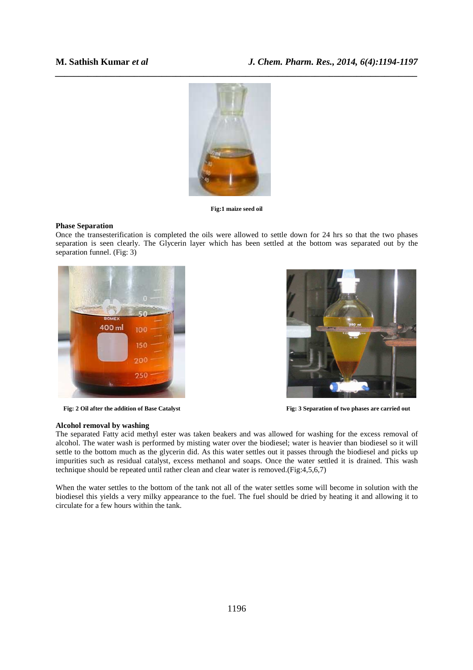

**Fig:1 maize seed oil** 

### **Phase Separation**

Once the transesterification is completed the oils were allowed to settle down for 24 hrs so that the two phases separation is seen clearly. The Glycerin layer which has been settled at the bottom was separated out by the separation funnel. (Fig: 3)



Fig: 2 Oil after the addition of Base Catalyst **Fig: 3** Separation of two phases are carried out



### **Alcohol removal by washing**

The separated Fatty acid methyl ester was taken beakers and was allowed for washing for the excess removal of alcohol. The water wash is performed by misting water over the biodiesel; water is heavier than biodiesel so it will settle to the bottom much as the glycerin did. As this water settles out it passes through the biodiesel and picks up impurities such as residual catalyst, excess methanol and soaps. Once the water settled it is drained. This wash technique should be repeated until rather clean and clear water is removed.(Fig:4,5,6,7)

When the water settles to the bottom of the tank not all of the water settles some will become in solution with the biodiesel this yields a very milky appearance to the fuel. The fuel should be dried by heating it and allowing it to circulate for a few hours within the tank.